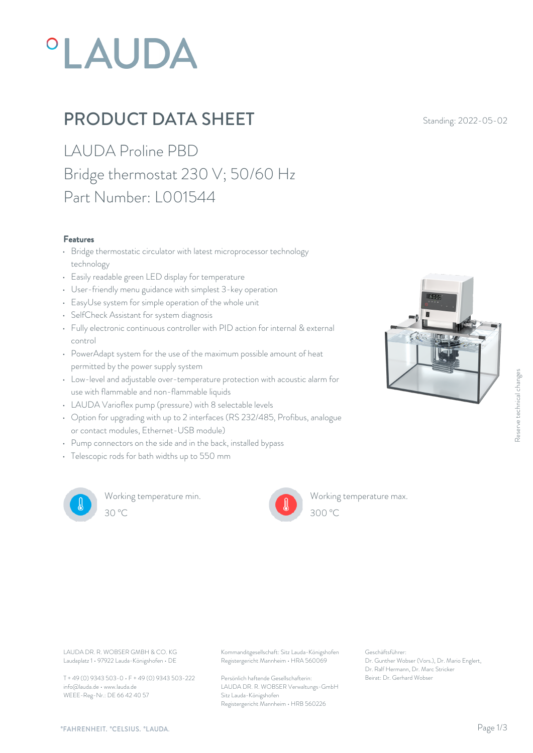# **°LAUDA**

## **PRODUCT DATA SHEET** Standing: 2022-05-02

LAUDA Proline PBD Bridge thermostat 230 V; 50/60 Hz Part Number: L001544

#### Features

- Bridge thermostatic circulator with latest microprocessor technology technology
- Easily readable green LED display for temperature
- User-friendly menu guidance with simplest 3-key operation
- EasyUse system for simple operation of the whole unit
- SelfCheck Assistant for system diagnosis
- Fully electronic continuous controller with PID action for internal & external control
- PowerAdapt system for the use of the maximum possible amount of heat permitted by the power supply system
- Low-level and adjustable over-temperature protection with acoustic alarm for use with flammable and non-flammable liquids
- LAUDA Varioflex pump (pressure) with 8 selectable levels
- Option for upgrading with up to 2 interfaces (RS 232/485, Profibus, analogue or contact modules, Ethernet-USB module)
- Pump connectors on the side and in the back, installed bypass
- Telescopic rods for bath widths up to 550 mm



Working temperature min. 30 °C 300 °C



Working temperature max.  $300^{\circ}$ C

Laudaplatz 1 • 97922 Lauda-Königshofen • DE

T + 49 (0) 9343 503-0 • F + 49 (0) 9343 503-222 info@lauda.de • www.lauda.de WEEE-Reg-Nr.: DE 66 42 40 57

LAUDA DR. R. WOBSER GMBH & CO. KG Kommanditgesellschaft: Sitz Lauda-Königshofen Geschäftsführer: Registergericht Mannheim • HRA 560069

> Persönlich haftende Gesellschafterin: Beirat: Dr. Gerhard Wobse LAUDA DR. R. WOBSER Verwaltungs-GmbH Sitz Lauda-Königshofen Registergericht Mannheim • HRB 560226

Geschäftsführer: Dr. Gunther Wobser (Vors.), Dr. Mario Englert, Dr. Ralf Hermann, Dr. Marc Stricker Beschäftsführer:<br>Beirature max.<br>Dr. Gunther Wobser (Vors.), Dr. Mario Englert,<br>Dr. Rafi Hermann, Dr. Marc Stricker<br>Beirat: Dr. Gerhard Wobser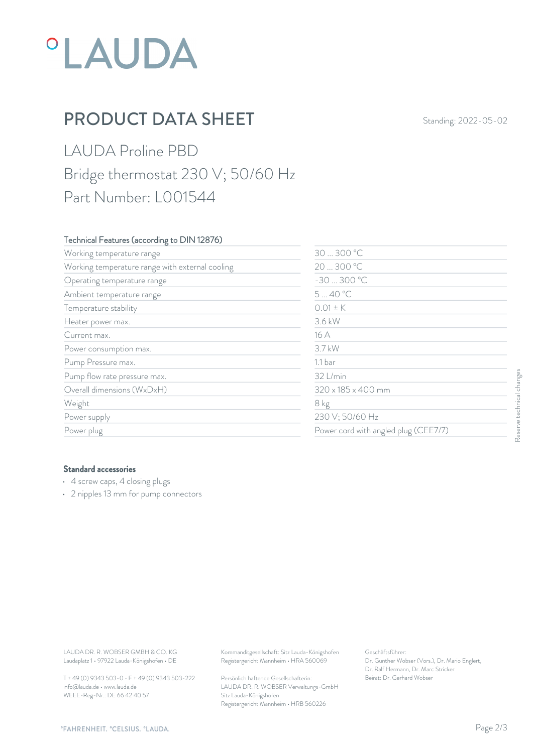## *°LAUDA*

## **PRODUCT DATA SHEET** Standing: 2022-05-02

LAUDA Proline PBD Bridge thermostat 230 V; 50/60 Hz Part Number: L001544

#### Technical Features (according to DIN 12876)

|                                                                                                         |                    | 30  300 °C                           |                           |
|---------------------------------------------------------------------------------------------------------|--------------------|--------------------------------------|---------------------------|
| Working temperature range with external cooling                                                         |                    | 20  300 °C                           |                           |
| Operating temperature range                                                                             |                    | $-30300 °C$                          |                           |
| Ambient temperature range                                                                               |                    | 540 °C                               |                           |
| Temperature stability                                                                                   | $0.01 \pm K$       |                                      |                           |
| Heater power max.                                                                                       | 3.6 kW             |                                      |                           |
| Current max.                                                                                            | 16 A               |                                      |                           |
| Power consumption max.                                                                                  | 3.7 kW             |                                      |                           |
| Pump Pressure max.                                                                                      | 1.1 <sub>bar</sub> |                                      |                           |
| Pump flow rate pressure max.                                                                            | 32 L/min           |                                      |                           |
| Overall dimensions (WxDxH)                                                                              |                    | 320 x 185 x 400 mm                   | Reserve technical changes |
| Weight                                                                                                  | 8 kg               |                                      |                           |
| Power supply                                                                                            |                    | 230 V; 50/60 Hz                      |                           |
| Power plug                                                                                              |                    | Power cord with angled plug (CEE7/7) |                           |
|                                                                                                         |                    |                                      |                           |
| <b>Standard accessories</b><br>• 4 screw caps, 4 closing plugs<br>• 2 nipples 13 mm for pump connectors |                    |                                      |                           |

#### Standard accessories

- 4 screw caps, 4 closing plugs
- 2 nipples 13 mm for pump connectors

T + 49 (0) 9343 503-0 • F + 49 (0) 9343 503-222 info@lauda.de • www.lauda.de WEEE-Reg-Nr.: DE 66 42 40 57

> Persönlich haftende Gesellschafterin: Beirat: Dr. Gerhard Wobse LAUDA DR. R. WOBSER Verwaltungs-GmbH Sitz Lauda-Königshofen Registergericht Mannheim • HRB 560226